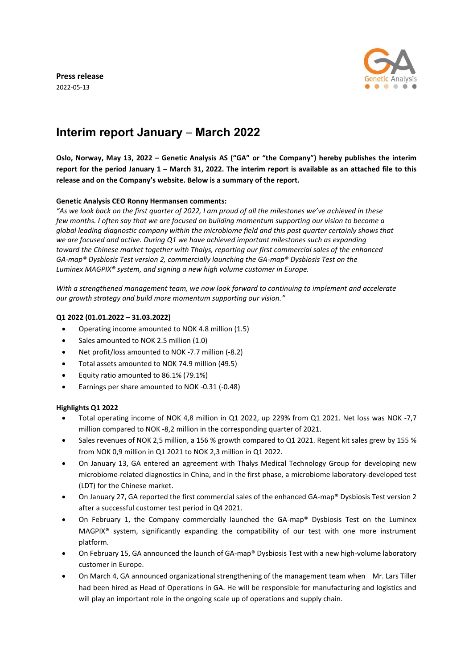**Press release** 

2022-05-13



# **Interim report January** – **March 2022**

Oslo, Norway, May 13, 2022 - Genetic Analysis AS ("GA" or "the Company") hereby publishes the interim report for the period January 1 - March 31, 2022. The interim report is available as an attached file to this **release and on the Company's website. Below is a summary of the report.**

# **Genetic Analysis CEO Ronny Hermansen comments:**

*"As we look back on the first quarter of 2022, I am proud of all the milestones we've achieved in these few months. I often say that we are focused on building momentum supporting our vision to become a global leading diagnostic company within the microbiome field and this past quarter certainly shows that we are focused and active. During Q1 we have achieved important milestones such as expanding toward the Chinese market together with Thalys, reporting our first commercial sales of the enhanced GA-map® Dysbiosis Test version 2, commercially launching the GA-map® Dysbiosis Test on the Luminex MAGPIX® system, and signing a new high volume customer in Europe.*

*With a strengthened management team, we now look forward to continuing to implement and accelerate our growth strategy and build more momentum supporting our vision."*

### **Q1 2022 (01.01.2022 – 31.03.2022)**

- Operating income amounted to NOK 4.8 million (1.5)
- Sales amounted to NOK 2.5 million (1.0)
- Net profit/loss amounted to NOK -7.7 million (-8.2)
- Total assets amounted to NOK 74.9 million (49.5)
- Equity ratio amounted to 86.1% (79.1%)
- Earnings per share amounted to NOK -0.31 (-0.48)

### **Highlights Q1 2022**

- Total operating income of NOK 4,8 million in Q1 2022, up 229% from Q1 2021. Net loss was NOK -7,7 million compared to NOK -8,2 million in the corresponding quarter of 2021.
- Sales revenues of NOK 2,5 million, a 156 % growth compared to Q1 2021. Regent kit sales grew by 155 % from NOK 0,9 million in Q1 2021 to NOK 2,3 million in Q1 2022.
- On January 13, GA entered an agreement with Thalys Medical Technology Group for developing new microbiome-related diagnostics in China, and in the first phase, a microbiome laboratory-developed test (LDT) for the Chinese market.
- On January 27, GA reported the first commercial sales of the enhanced GA-map® Dysbiosis Test version 2 after a successful customer test period in Q4 2021.
- On February 1, the Company commercially launched the GA-map® Dysbiosis Test on the Luminex MAGPIX® system, significantly expanding the compatibility of our test with one more instrument platform.
- On February 15, GA announced the launch of GA-map® Dysbiosis Test with a new high-volume laboratory customer in Europe.
- On March 4, GA announced organizational strengthening of the management team when Mr. Lars Tiller had been hired as Head of Operations in GA. He will be responsible for manufacturing and logistics and will play an important role in the ongoing scale up of operations and supply chain.